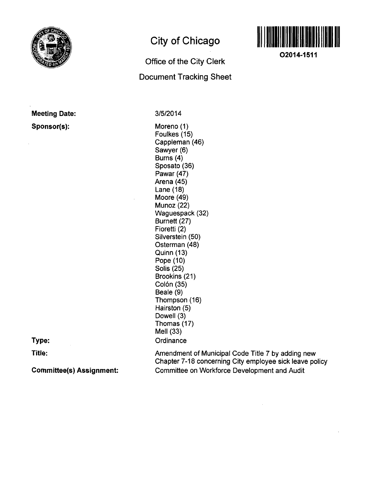

**Meeting Date:** 

**Sponsor(s):** 

# **City of Chicago**

# **Office of the City Clerk Document Tracking Sheet**



**02014-1511** 

3/5/2014

Moreno (1) Foulkes (15) Cappleman (46) Sawyer (6) Burns (4) Sposato (36) Pawar (47) Arena (45) Lane (18) Moore (49) Munoz (22) Waguespack (32) Burnett (27) Fioretti (2) Silverstein (50) Osterman (48) Quinn (13) Pope (10) Solis (25) Brookins (21) Colón (35) Beale (9) Thompson (16) Hairston (5) Dowell (3) Thomas (17) Mell (33) **Ordinance** 

**Type:** 

**Title:** 

**Committee(s) Assignment:** 

Amendment of Municipal Code Title 7 by adding new Chapter 7-18 concerning City employee sick leave policy Committee on Workforce Development and Audit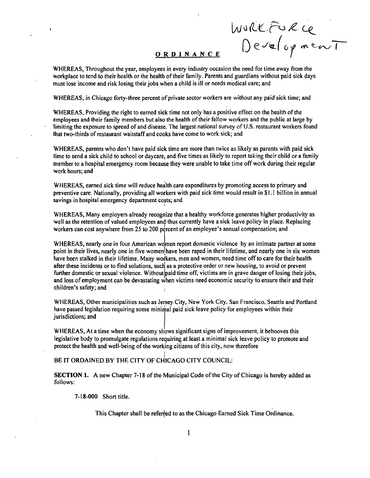**ORDINANC E** 

WURKFURCE<br>Development

WHEREAS, Throughout the year, employees in every industry occasion the need for time away from the workplace to tend to their health or the health of their family. Parents and guardians without paid sick days must lose income and risk losing their jobs when a child is ill or needs medical care; and

WHEREAS, in Chicago forty-three percent of private sector workers are without any paid sick time; and

WHEREAS, Providing the right to earned sick time not only has a positive effect on the health of the employees and their family members but also the health of their fellow workers and the public at large by limiting the exposure to spread of and disease. The largest national survey of U.S. restaurant workers found that two-thirds of restaurant waitstaff and cooks have come to work sick; and

WHEREAS, parents who don't have paid sick time are more than twice as likely as parents with paid sick time to send a sick child to school or daycare, and five times as likely to report taking their child or a family member to a hospital emergency room because they were unable to take time off work during their regular work hours; and

WHEREAS, eamed sick time will reduce health care expenditures by promoting access to primary and preventive care. Nationally, providing all workers with paid sick time would result in \$1.1 billion in annual savings in hospital emergency department costs; and

WHEREAS, Many employers already recognize that a healthy workforce generates higher productivity as well as the retention of valued employees and thus currently have a sick leave policy in place. Replacing workers can cost anywhere from 25 to 200 percent of an employee's annual compensation; and

WHEREAS, nearly one in four American women report domestic violence by an intimate partner at some point in their lives, nearly one in five women have been raped in their lifetime, and nearly one in six women have been stalked in their lifetime. Many workers, men and women, need time off to care for their health after these incidents or to find solutions, such as a protective order or new housing, to avoid or prevent further domestic or sexual violence. Without paid time off, victims are in grave danger of losing their jobs, and loss of employment can be devastating when victims need economic security to ensure their and their children's safety; and

WHEREAS, Other municipalities such as Jersey City, New York City, San Francisco, Seattle and Portland have passed legislation requiring some minimal paid sick leave policy for employees within their Jurisdictions; and

WHEREAS, At a time when the economy shows significant signs of improvement, it behooves this legislative body to promulgate regulations requiring at least a minimal sick leave policy to promote and protect the health and well-being of the working citizens of this city, now therefore

## BE IT ORDAINED BY THE CITY OF CHICAGO CITY COUNCIL:

SECTION 1. A new Chapter 7-18 of the Municipal Code of the City of Chicago is hereby added as follows:

7-18-000 Short title.

This Chapter shall be referred to as the Chicago Eamed Sick Time Ordinance.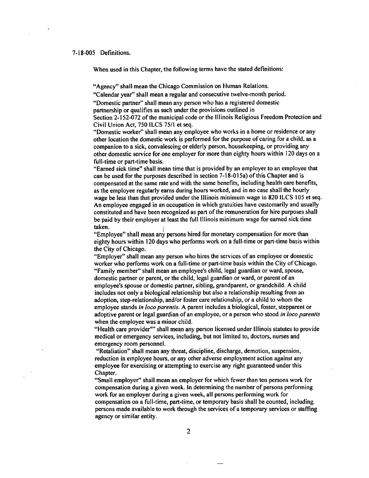#### **7-18-005 Definitions.**

**When used in this Chapter, the following terms have the stated definitions:** 

**"Agency" shall mean the Chicago Commission on Human Relations.** 

**"Calendar year" shall mean a regular and consecutive twelve-month period.** 

**"Domestic partner" shall mean any person who has a registered domestic partnership or qualifies as such under the provisions outlined in** 

**Section 2-152-072 of the municipal code or the Illinois Religious Freedom Protection and Civil Union Act, 750 ILCS 75/1 et seq.** 

**"Domestic worker" shall mean any employee who works in a home or residence or any other location the domestic work is performed for the purpose of caring for a child, as a companion to a sick, convalescing or elderly person, housekeeping, or providing any other domestic service for one employer for more than eighty hours within 120 days on a full-time or part-time basis.** 

**"Earned sick time" shall mean time that is provided by an employer to an employee that can be used for the purposes described in section 7-18-015a) of this Chapter and is compensated at the same rate and with the same benefits, including health care benefits, as the employee regularly earns during hours worked, and in no case shall the houriy wage be less than that provided under the Illinois minimum wage in 820 ILCS 105 et seq. An employee engaged in an occupation in which gratuities have customarily and usually constituted and have been recognized as part of the remuneration for hire purposes shall be paid by their employer at least the full Illinois minimum wage for earned sick time taken.** 

**"Employee" shall mean any persons hired for monetary compensation for more than eighty hours within 120 days who performs work on a full-time or part-time basis within the City of Chicago.** 

**"Employer" shall mean any person who hires the services of an employee or domestic**  worker who performs work on a full-time or part-time basis within the City of Chicago. **"Family member" shall mean an employee's child, legal guardian or ward, spouse, domestic partner or parent, or the child, legal guardian or ward, or parent of an employee's spouse or domestic partner, sibling, grandparent, or grandchild. A child includes not only a biological relationship but also a relationship resulting from an adoption, step-relationship, and/or foster care relationship, or a child to whom the employee stands in loco parentis. A parent includes a biological, foster, stepparent or adoptive parent or legal guardian of an employee, or a person who stood in loco parentis when the employee was a minor child.** 

**"Health care provider"" shall mean any person licensed under Illinois statutes to provide medical or emergency services, including, but not limited to, doctors, nurses and emergency room personnel.** 

**"Retaliation" shall mean any threat, discipline, discharge, demotion, suspension, reduction in employee hours, or any other adverse employment action against any employee for exercising or attempting to exercise any right guaranteed under this Chapter.** 

**"Small employer" shall mean an employer for which fewer than ten persons work for compensation during a given week. In determining the number of persons performing work for an employer during a given week, all persons performing work for compensation on a full-time, part-time, or temporary basis shall be counted, including persons made available to work through the services of a temporary services or staffing agency or similar entity.**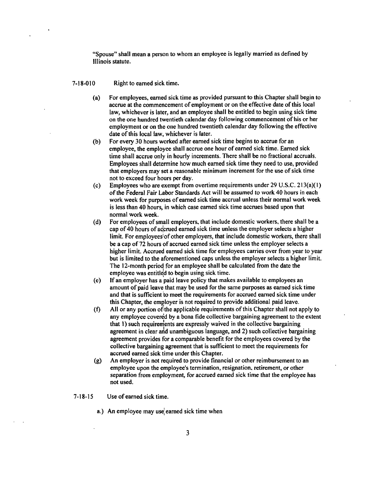**"Spouse" shall mean a person to whom an employee is legally married as defined by Illinois statute.** 

### **7-18-010 Right to eamed sick time.**

- **(a) For employees, eamed sick time as provided pursuant to this Chapter shall begin to accrue at the commencement of employment or on the effective date of this local law, whichever is later, and an employee shall be entitled to begin using sick time on the one hundred twentieth calendar day following commencement of his or her employment or on the one hundred twentieth calendar day following the effective date of this local law, whichever is later.**
- **(b) For every 30 hours worked after eamed sick time begins to accrue for an employee, the employee shall accrue one hour of earned sick time. Eamed sick time shall accrue only in hourly increments. There shall be no fractional accruals. Employees shall determine how much eamed sick time they need to use, provided that employers may set a reasonable minimum increment for the use of sick time not to exceed four hours per day.**
- **(c) Employees who are exempt from overtime requirements under 29 U.S.C. 213(a)( I) of the Federal Fair Labor Standards Act will be assumed to work 40 hours in each work week for purposes of eamed sick time accrual unless their normal work week is less than 40 hours, in which case eamed sick time accrues based upon that normal work week.**
- **(d) For employees of small employers, that include domestic workers, there shall be a cap of 40 hours of acjcmed eamed sick time unless the employer selects a higher limit. For employeesiof other employers, that include domestic workers, there shall be a cap of 72 hours of accrued earned sick time unless the employer selects a higher limit. Accrued eamed sick time for employees carries over from year to year but is limited to the aforementioned caps unless the employer selects a higher limit. The 12-month period for an employee shall be calculated from the date the employee was entitle|d to begin using sick time.**
- **(e) If an employer has a paid leave policy that makes available to employees an amount of paid leave that may be used for the same purposes as earned sick time and that is sufficient to meet the requirements for accrued earned sick time under**  this Chapter, the employer is not required to provide additional paid leave.
- **(f) All or any portion of the applicable requirements of this Chapter shall not apply to any employee covered by a bona fide collective bargaining agreement to the extent that 1) such requirements are expressly waived in the collective bargaining agreement in clear and unambiguous language, and 2) such collective bargaining agreement provides for a comparable benefit for the employees covered by the collective bargaining agreement that is sufficient to meet the requirements for accrued eamed sick time under this Chapter.**
- **(g) An employer is not required to provide financial or other reimbursement to an employee upon the employee's termination, resignation, retirement, or other separation from employment, for accrued earned sick time that the employee has not used.**
- **7-18-15 Use of earned sick time.** 
	- **a.) An employee may use; earned sick time when**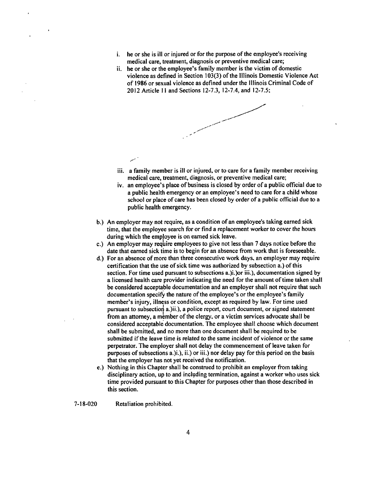- **i**. he or she is ill or injured or for the purpose of the employee's receiving **medical care, treatment, diagnosis or preventive medical care;**
- **he or she or the employee's family member is the victim of domestic violence as defmed in Section 103(3) of the Illinois Domestic Violence Act of 1986 or sexual violence as defined under the Illinois Criminal Code of 2012 Article 11 and Sections 12-7.3, 12-7.4, and 12-7.5;**



- **iii. a family member is ill or injured, or to care for a family member receiving medical care, treatment, diagnosis, or preventive medical care;**
- **iv. an employee's place of business is closed by order of a public official due to a public health emergency or an employee's need to care for a child whose school or place of care has been closed by order of a public official due to a public health emergency.**
- **b. ) An employer may not require, as a condition of an employee's taking earned sick time, that the employee search for or find a replacement worker to cover the hours during which the employee is on eamed sick leave.**
- **c. ) An employer may require employees to give not less than 7 days notice before the date that earned sick time is to begin for an absence from work that is foreseeable.**
- **d. ) For an absence of more than three consecutive work days, an employer may require certification that the use of sick time was authorized by subsection a.) of this section. For time used pursuant to subsections a.)i.)or iii.), documentation signed by a licensed health care provider indicating the need for the amount of time taken shall be considered acceptable documentation and an employer shall not require that such documentation specify the nature of the employee's or the employee's family member's injury, illness or condition, except as required by law. For time used**  pursuant to subsection a.)ii.), a police report, court document, or signed statement from an attorney, a member of the clergy, or a victim services advocate shall be **considered acceptable documentation. The employee shall choose which document shall be submitted, and no more than one document shall be required to be submitted if the leave time is related to the same incident of violence or the same perpetrator. The employer shall not delay the commencement of leave taken for purposes of subsections a.)i.), ii.) or iii.) nor delay pay for this period on the basis that the employer has not yet received the notification.**
- **e. ) Nothing in this Chapter shall be construed to prohibit an employer from taking disciplinary action, up to and including termination, against a worker who uses sick time provided pursuant to this Chapter for purposes other than those described in this section.**

**7-18-020 Retaliation prohibited.**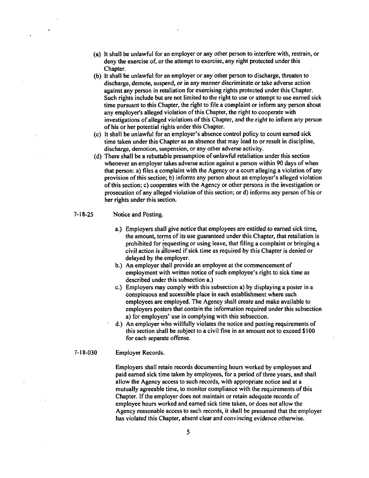- **(a) It shall be unlawful for an employer or any other person to interfere with, restrain, or deny the exercise of, or the attempt to exercise, any right protected under this Chapter.**
- **(b) It shall be unlawful for an employer or any other person to discharge, threaten to discharge, demote, suspend, or in any manner discriminate or take adverse action against any person in retaliation for exercising rights protected under this Chapter. Such rights include but are not limited to the right to use or attempt to use earned sick time pursuant to this Chapter, the right to file a complaint or inform any person about any employer's alleged violation of this Chapter, the right to cooperate with investigations of alleged violations of this Chapter, and the right to inform any person of his or her potential rights under this Chapter.**
- **(c) It shall be unlawful for an employer's absence control policy to count eamed sick time taken under this Chapter as an absence that may lead to or result in discipline,**  discharge, demotion, suspension, or any other adverse activity.
- **(d) There shall be a rebuttable presumption of unlawful retaliation under this section whenever an employer takes adverse action against a person within 90 days of when that person: a) files a complaint with the Agency or a court alleging a violation of any provision of this section; b) informs any person about an employer's alleged violation of this section; c) cooperates with the Agency or other persons in the investigation or prosecution of any alleged violation of this section; or d) informs any person of his or her rights under this section.**
- **7-18-25 Notice and Posting.** 
	- **a. ) Employers shall give notice that employees are entitled to earned sick time, the amount, terms of its use guaranteed under this Chapter, that retaliation is prohibited for requesting or using leave, that filing a complaint or bringing a civil action is allowed if sick time as required by this Chapter is denied or delayed by the employer.**
	- **b. ) An employer shall provide an employee at the commencement of employment with written notice of such employee's right to sick time as described under this subsection a.)**
	- **c. ) Employers may comply with this subsection a) by displaying a poster in a conspicuous and accessible place in each establishment where such employees are employed. The Agency shall create and make available to employers posters that contain the information required under this subsection a) for employers' use in complying with this subsection.**
	- **d. ) An employer who willfully violates the notice and posting requirements of this section shall be subject to a civil fine in an amount not to exceed \$100 for each separate offense.**

## **7-18-030 Employer Records.**

**Employers shall retain records documenting hours worked by employees and paid eamed sick time taken by employees, for a period of three years, and shall allow the Agency access to such records, with appropriate notice and at a mutually agreeable time, to monitor compliance with the requirements of this Chapter. If the employer does not maintain or retain adequate records of employee hours worked and eamed sick time taken, or does not allow the Agency reasonable access to such records, it shall be presumed that the employer has violated this Chapter, absent clear and convincing evidence otherwise.**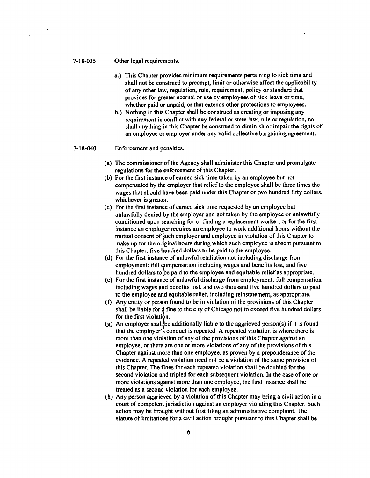#### **7-18-035 Other legal requirements.**

- **a. ) This Chapter provides minimum requirements pertaining to sick time and shall not be construed to preempt, limit or otherwise affect the applicability of any other law, regulation, rule, requirement, policy or standard that provides for greater accrual or use by employees of sick leave or time, whether paid or unpaid, or that extends other protections to employees.**
- **b. ) Nothing in this Chapter shall be construed as creating or imposing any**  requirement in conflict with any federal or state law, rule or regulation, nor **shall anything in this Chapter be construed to diminish or impair the rights of an employee or employer under any valid collective bargaining agreement.**

#### **7-18-040 Enforcement and penalties.**

- **(a) The commissioner of the Agency shall administer this Chapter and promulgate regulations for the enforcement of this Chapter.**
- **(b) For the first instance of eamed sick time taken by an employee but not compensated by the employer that relief to the employee shall be three times the wages that should have been paid under this Chapter or two hundred fifty dollars, whichever is greater.**
- **(c) For the first instance of eamed sick time requested by an employee but unlawfully denied by the employer and not taken by the employee or unlawfully conditioned upon searching for or finding a replacement worker, or for the first instance an employer requires an employee to work additional hours without the mutual consent of such employer and employee in violation of this Chapter to make up for the original hours during which such employee is absent pursuant to this Chapter: five hundred dollars to be paid lo the employee.**
- **(d) For the first instance of unlawful retaliation not including discharge from employment: full compensation including wages and benefits lost, and five hundred dollars to be paid to the employee and equitable relief as appropriate.**
- **(e) Forthe first instance of unlawful discharge from employment: full compensation including wages and benefits lost, and two thousand five hundred dollars to paid to the employee and equitable relief, including reinstatement, as appropriate.**
- **(f) Any entity or person found to be in violation of the provisions of this Chapter shall be liable for a fine to the city ofChicago not to exceed five hundred dollars**  for the first violation.
- (g) An employer shall be additionally liable to the aggrieved person(s) if it is found **that the employer's conduct is repeated. A repeated violation is where there is**  more than one violation of any of the provisions of this Chapter against an **employee, or there are one or more violations of any of the provisions of this Chapter against more than one employee, as proven by a preponderance of the evidence. A repeated violation need not be a violation of the same provision of this Chapter. The fines for each repeated violation shall be doubled tor the second violation and tripled for each subsequent violation. In the case of one or more violations against more than one employee, the first instance shall be treated as a second violation for each employee.**
- **(h) Any person aggrieved by a violation of this Chapter may bring a civil action in a court of competent jurisdiction against an employer violating this Chapter. Such action may be brought whhout first filing an administrative complaint. The statute of limitations for a civil action brought pursuant to this Chapter shall be**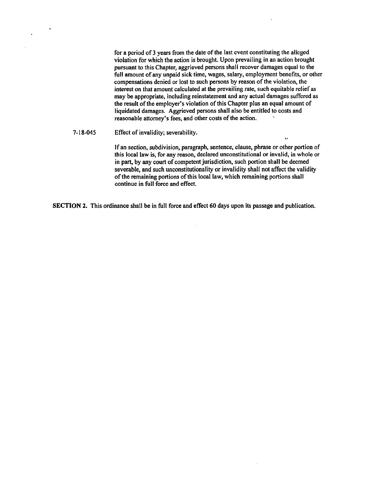**for a period of 3 years from the date of the last event constituting the alleged violation for which the action is brought. Upon prevailing in an action brought pursuant to this Chapter, aggrieved persons shall recover damages equal to the**  full amount of any unpaid sick time, wages, salary, employment benefits, or other compensations denied or lost to such persons by reason of the violation, the **interest on that amount calculated at the prevailing rate, such equitable relief as may be appropriate, including reinstatement and any actual damages suffered as the result of the employer's violation of this Chapter plus an equal amount of liquidated damages. Aggrieved persons shall also be entitled to costs and**  reasonable attorney's fees, and other costs of the action.

#### **7-18-045 Effect of in val idity; severab ility.**

 $\ddot{\phantom{a}}$ 

**If an section, subdivision, paragraph, sentence, clause, phrase or other portion of this local law is, for any reason, declared unconstitutional or invalid, in whole or in part, by any court of competent jurisdiction, such portion shall be deemed severable, and such unconstitutionality or invalidity shall not affect the validity of the remaining portions of this local law, which remaining portions shall continue in full force and effect.** 

**SECTION 2. This ordinance shall be in full force and effect 60 days upon its passage and publication.**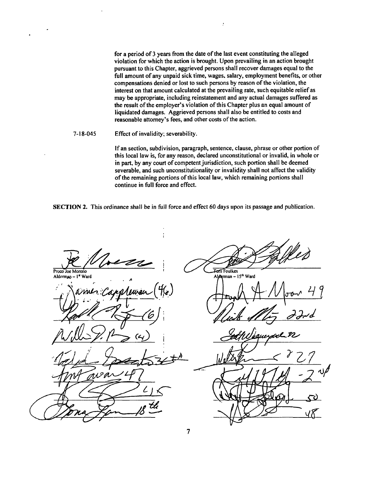**for a period of 3 years from the date of the last event constituting the alleged violation for which the action is brought. Upon prevailing in an action brought pursuant to this Chapter, aggrieved persons shall recover damages equal to the full amount of any unpaid sick time, wages, salary, employment benefits, or other compensations denied or lost to such persons by reason of the violation, the interest on that amount calculated at the prevailing rate, such equitable relief as may be appropriate, including reinstatement and any actual damages suffered as the result of the employer's violation of this Chapter plus an equal amount of liquidated damages. Aggrieved persons shall also be entitled to costs and reasonable attorney's fees, and other costs of the action.** 

 $\mathcal{I}$ 

#### **7-18-045 Effect of invalidity; severability.**

**If an section, subdivision, paragraph, sentence, clause, phrase or other portion of this local law is, for any reason, declared unconstitutional or invalid, in whole or in part, by any court of competent jurisdiction, such portion shall be deemed severable, and such unconstitutionality or invalidity shall not affect the validity of the remaining portions of this local law, which remaining portions shall continue in full force and effect.** 

**SECTION 2.** This ordinance shall be in full force and effect 60 days upon its passage and publication.

**Toni Foulkes** Proco Joe Moreno Alderman - 1ª Ward Alduman - 15th Word wL Ō,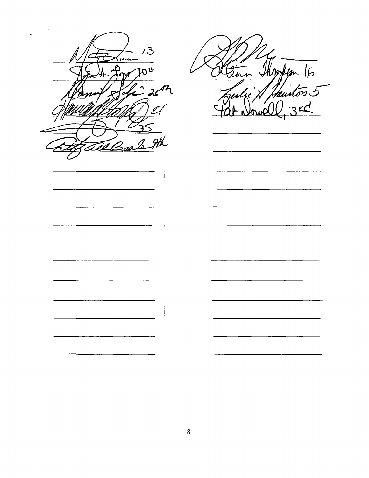$13$ m  $\mathcal{D}$  ه  $\mathcal{Z}$  $\mathbf{I}$  $\frac{1}{2}$  $\overline{\phantom{0}}$ 

 $m|6$ taunton 5

 $\sim 10^{11}$